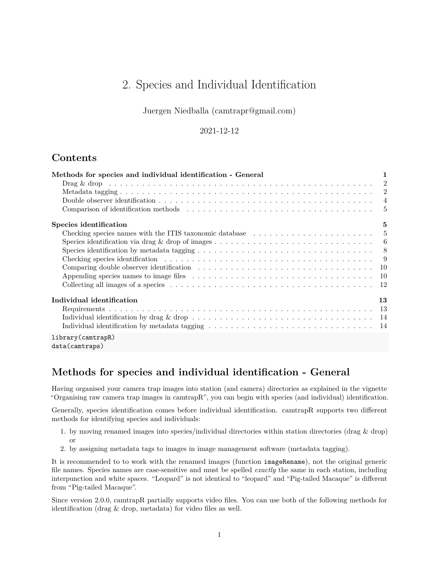# 2. Species and Individual Identification

Juergen Niedballa [\(camtrapr@gmail.com\)](mailto:camtrapr@gmail.com)

### 2021-12-12

## **Contents**

| Methods for species and individual identification - General                                                                                                                                                                    | 1              |
|--------------------------------------------------------------------------------------------------------------------------------------------------------------------------------------------------------------------------------|----------------|
|                                                                                                                                                                                                                                |                |
|                                                                                                                                                                                                                                |                |
|                                                                                                                                                                                                                                | $\overline{4}$ |
| Comparison of identification methods expansion in the set of the set of the set of the set of the set of the set of the set of the set of the set of the set of the set of the set of the set of the set of the set of the set | 5              |
| Species identification                                                                                                                                                                                                         | 5              |
| Checking species names with the ITIS taxonomic database $\dots \dots \dots \dots \dots \dots \dots \dots \dots$                                                                                                                |                |
|                                                                                                                                                                                                                                |                |
|                                                                                                                                                                                                                                |                |
|                                                                                                                                                                                                                                |                |
|                                                                                                                                                                                                                                |                |
|                                                                                                                                                                                                                                |                |
|                                                                                                                                                                                                                                |                |
| Individual identification                                                                                                                                                                                                      | 13             |
|                                                                                                                                                                                                                                |                |
| Individual identification by drag & drop $\dots \dots \dots \dots \dots \dots \dots \dots \dots \dots \dots \dots \dots \dots \dots$                                                                                           |                |
|                                                                                                                                                                                                                                |                |
| library(camtrapR)<br>data(camtraps)                                                                                                                                                                                            |                |

## <span id="page-0-0"></span>**Methods for species and individual identification - General**

Having organised your camera trap images into station (and camera) directories as explained in the vignette "Organising raw camera trap images in camtrapR", you can begin with species (and individual) identification.

Generally, species identification comes before individual identification. camtrapR supports two different methods for identifying species and individuals:

- 1. by moving renamed images into species/individual directories within station directories (drag & drop) or
- 2. by assigning metadata tags to images in image management software (metadata tagging).

It is recommended to to work with the renamed images (function imageRename), not the original generic file names. Species names are case-sensitive and must be spelled *exactly* the same in each station, including interpunction and white spaces. "Leopard" is not identical to "leopard" and "Pig-tailed Macaque" is different from "Pig-tailed Macaque".

Since version 2.0.0, camtrapR partially supports video files. You can use both of the following methods for identification (drag & drop, metadata) for video files as well.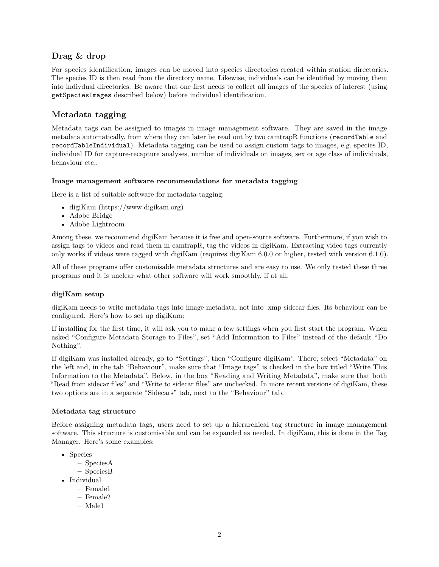## <span id="page-1-0"></span>**Drag & drop**

For species identification, images can be moved into species directories created within station directories. The species ID is then read from the directory name. Likewise, individuals can be identified by moving them into indivdual directories. Be aware that one first needs to collect all images of the species of interest (using getSpeciesImages described below) before individual identification.

## <span id="page-1-1"></span>**Metadata tagging**

Metadata tags can be assigned to images in image management software. They are saved in the image metadata automatically, from where they can later be read out by two camtrapR functions (recordTable and recordTableIndividual). Metadata tagging can be used to assign custom tags to images, e.g. species ID, individual ID for capture-recapture analyses, number of individuals on images, sex or age class of individuals, behaviour etc..

#### **Image management software recommendations for metadata tagging**

Here is a list of suitable software for metadata tagging:

- digiKam [\(https://www.digikam.org\)](https://www.digikam.org)
- Adobe Bridge
- Adobe Lightroom

Among these, we recommend digiKam because it is free and open-source software. Furthermore, if you wish to assign tags to videos and read them in camtrapR, tag the videos in digiKam. Extracting video tags currently only works if videos were tagged with digiKam (requires digiKam 6.0.0 or higher, tested with version 6.1.0).

All of these programs offer customisable metadata structures and are easy to use. We only tested these three programs and it is unclear what other software will work smoothly, if at all.

#### **digiKam setup**

digiKam needs to write metadata tags into image metadata, not into .xmp sidecar files. Its behaviour can be configured. Here's how to set up digiKam:

If installing for the first time, it will ask you to make a few settings when you first start the program. When asked "Configure Metadata Storage to Files", set "Add Information to Files" instead of the default "Do Nothing".

If digiKam was installed already, go to "Settings", then "Configure digiKam". There, select "Metadata" on the left and, in the tab "Behaviour", make sure that "Image tags" is checked in the box titled "Write This Information to the Metadata". Below, in the box "Reading and Writing Metadata", make sure that both "Read from sidecar files" and "Write to sidecar files" are unchecked. In more recent versions of digiKam, these two options are in a separate "Sidecars" tab, next to the "Behaviour" tab.

#### **Metadata tag structure**

Before assigning metadata tags, users need to set up a hierarchical tag structure in image management software. This structure is customisable and can be expanded as needed. In digiKam, this is done in the Tag Manager. Here's some examples:

- Species
	- **–** SpeciesA
	- **–** SpeciesB
- Individual
	- **–** Female1
	- **–** Female2
	- **–** Male1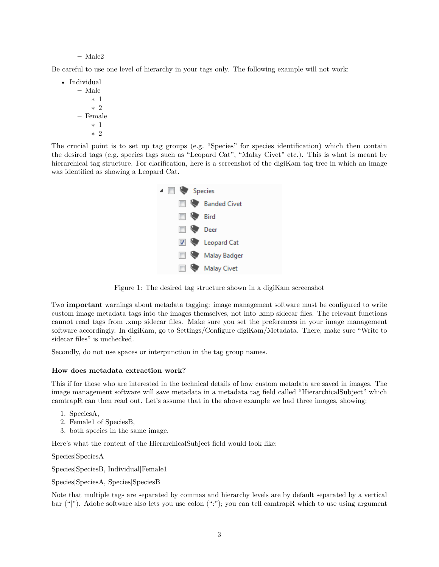#### **–** Male2

Be careful to use one level of hierarchy in your tags only. The following example will not work:

• Individual **–** Male ∗ 1 ∗ 2 **–** Female ∗ 1 ∗ 2

The crucial point is to set up tag groups (e.g. "Species" for species identification) which then contain the desired tags (e.g. species tags such as "Leopard Cat", "Malay Civet" etc.). This is what is meant by hierarchical tag structure. For clarification, here is a screenshot of the digiKam tag tree in which an image was identified as showing a Leopard Cat.



Figure 1: The desired tag structure shown in a digiKam screenshot

Two **important** warnings about metadata tagging: image management software must be configured to write custom image metadata tags into the images themselves, not into .xmp sidecar files. The relevant functions cannot read tags from .xmp sidecar files. Make sure you set the preferences in your image management software accordingly. In digiKam, go to Settings/Configure digiKam/Metadata. There, make sure "Write to sidecar files" is unchecked.

Secondly, do not use spaces or interpunction in the tag group names.

#### **How does metadata extraction work?**

This if for those who are interested in the technical details of how custom metadata are saved in images. The image management software will save metadata in a metadata tag field called "HierarchicalSubject" which camtrapR can then read out. Let's assume that in the above example we had three images, showing:

- 1. SpeciesA,
- 2. Female1 of SpeciesB,
- 3. both species in the same image.

Here's what the content of the HierarchicalSubject field would look like:

Species|SpeciesA

Species|SpeciesB, Individual|Female1

Species|SpeciesA, Species|SpeciesB

Note that multiple tags are separated by commas and hierarchy levels are by default separated by a vertical bar ("|"). Adobe software also lets you use colon (":"); you can tell camtrapR which to use using argument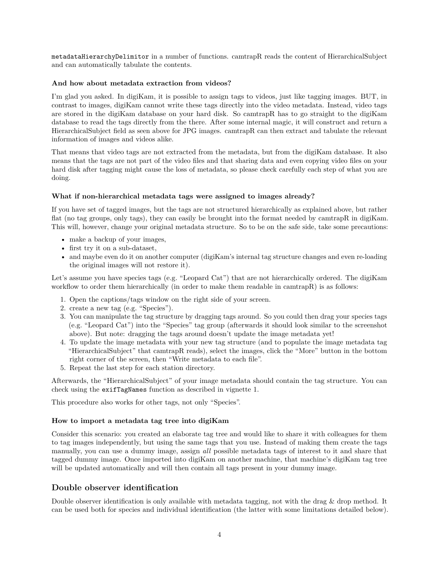metadataHierarchyDelimitor in a number of functions. camtrapR reads the content of HierarchicalSubject and can automatically tabulate the contents.

#### **And how about metadata extraction from videos?**

I'm glad you asked. In digiKam, it is possible to assign tags to videos, just like tagging images. BUT, in contrast to images, digiKam cannot write these tags directly into the video metadata. Instead, video tags are stored in the digiKam database on your hard disk. So camtrapR has to go straight to the digiKam database to read the tags directly from the there. After some internal magic, it will construct and return a HierarchicalSubject field as seen above for JPG images. camtrapR can then extract and tabulate the relevant information of images and videos alike.

That means that video tags are not extracted from the metadata, but from the digiKam database. It also means that the tags are not part of the video files and that sharing data and even copying video files on your hard disk after tagging might cause the loss of metadata, so please check carefully each step of what you are doing.

#### **What if non-hierarchical metadata tags were assigned to images already?**

If you have set of tagged images, but the tags are not structured hierarchically as explained above, but rather flat (no tag groups, only tags), they can easily be brought into the format needed by camtrapR in digiKam. This will, however, change your original metadata structure. So to be on the safe side, take some precautions:

- make a backup of your images,
- first try it on a sub-dataset,
- and maybe even do it on another computer (digiKam's internal tag structure changes and even re-loading the original images will not restore it).

Let's assume you have species tags (e.g. "Leopard Cat") that are not hierarchically ordered. The digiKam workflow to order them hierarchically (in order to make them readable in camtrapR) is as follows:

- 1. Open the captions/tags window on the right side of your screen.
- 2. create a new tag (e.g. "Species").
- 3. You can manipulate the tag structure by dragging tags around. So you could then drag your species tags (e.g. "Leopard Cat") into the "Species" tag group (afterwards it should look similar to the screenshot above). But note: dragging the tags around doesn't update the image metadata yet!
- 4. To update the image metadata with your new tag structure (and to populate the image metadata tag "HierarchicalSubject" that camtrapR reads), select the images, click the "More" button in the bottom right corner of the screen, then "Write metadata to each file".
- 5. Repeat the last step for each station directory.

Afterwards, the "HierarchicalSubject" of your image metadata should contain the tag structure. You can check using the exifTagNames function as described in vignette 1.

This procedure also works for other tags, not only "Species".

#### **How to import a metadata tag tree into digiKam**

Consider this scenario: you created an elaborate tag tree and would like to share it with colleagues for them to tag images independently, but using the same tags that you use. Instead of making them create the tags manually, you can use a dummy image, assign *all* possible metadata tags of interest to it and share that tagged dummy image. Once imported into digiKam on another machine, that machine's digiKam tag tree will be updated automatically and will then contain all tags present in your dummy image.

### <span id="page-3-0"></span>**Double observer identification**

Double observer identification is only available with metadata tagging, not with the drag & drop method. It can be used both for species and individual identification (the latter with some limitations detailed below).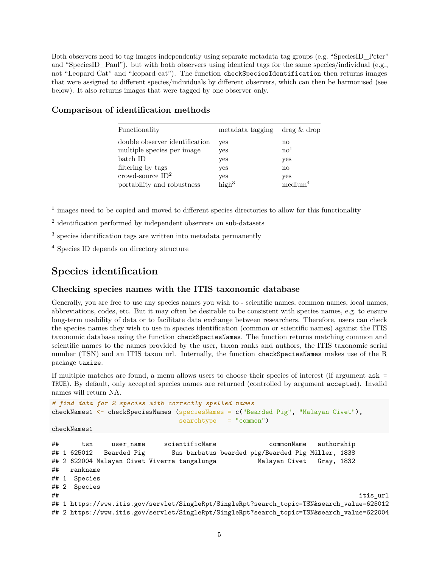Both observers need to tag images independently using separate metadata tag groups (e.g. "SpeciesID Peter" and "SpeciesID Paul"). but with both observers using identical tags for the same species/individual (e.g., not "Leopard Cat" and "leopard cat"). The function checkSpeciesIdentification then returns images that were assigned to different species/individuals by different observers, which can then be harmonised (see below). It also returns images that were tagged by one observer only.

| Functionality                  | metadata tagging  | drag & drop       |
|--------------------------------|-------------------|-------------------|
| double observer identification | yes               | no                |
| multiple species per image     | yes               | $\mathrm{no}^1$   |
| batch ID                       | yes               | yes               |
| filtering by tags              | yes               | no                |
| crowd-source $ID^2$            | yes               | yes               |
| portability and robustness     | high <sup>3</sup> | $\text{medium}^4$ |

## <span id="page-4-0"></span>**Comparison of identification methods**

<sup>1</sup> images need to be copied and moved to different species directories to allow for this functionality

<sup>2</sup> identification performed by independent observers on sub-datasets

<sup>3</sup> species identification tags are written into metadata permanently

<sup>4</sup> Species ID depends on directory structure

## <span id="page-4-1"></span>**Species identification**

#### <span id="page-4-2"></span>**Checking species names with the ITIS taxonomic database**

Generally, you are free to use any species names you wish to - scientific names, common names, local names, abbreviations, codes, etc. But it may often be desirable to be consistent with species names, e.g. to ensure long-term usability of data or to facilitate data exchange between researchers. Therefore, users can check the species names they wish to use in species identification (common or scientific names) against the [ITIS](http://www.itis.gov) [taxonomic database](http://www.itis.gov) using the function checkSpeciesNames. The function returns matching common and scientific names to the names provided by the user, taxon ranks and authors, the ITIS taxonomic serial number (TSN) and an ITIS taxon url. Internally, the function checkSpeciesNames makes use of the R package taxize.

If multiple matches are found, a menu allows users to choose their species of interest (if argument ask = TRUE). By default, only accepted species names are returned (controlled by argument accepted). Invalid names will return NA.

```
# find data for 2 species with correctly spelled names
checkNames1 <- checkSpeciesNames (speciesNames = c("Bearded Pig", "Malayan Civet"),
                                 searchtype = "common")
```

```
checkNames1
```

```
## tsn user_name scientificName commonName authorship
## 1 625012 Bearded Pig Sus barbatus bearded pig/Bearded Pig Müller, 1838
## 2 622004 Malayan Civet Viverra tangalunga Malayan Civet Gray, 1832
## rankname
## 1 Species
## 2 Species
## itis_url
## 1 https://www.itis.gov/servlet/SingleRpt/SingleRpt?search_topic=TSN&search_value=625012
## 2 https://www.itis.gov/servlet/SingleRpt/SingleRpt?search_topic=TSN&search_value=622004
```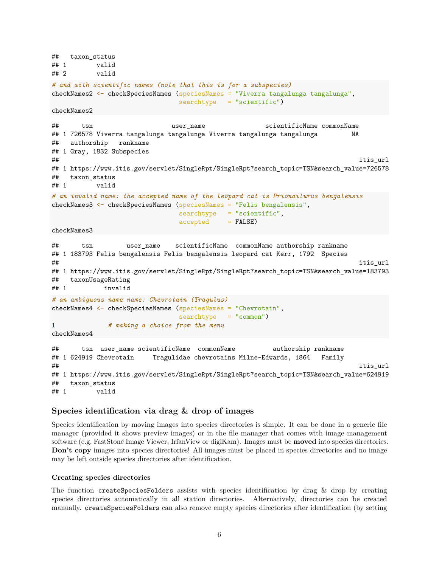```
## taxon_status
## 1 valid
## 2 valid
# and with scientific names (note that this is for a subspecies)
checkNames2 <- checkSpeciesNames (speciesNames = "Viverra tangalunga tangalunga",
                           searchtype = "scientific")
checkNames2
## tsn user_name scientificName commonName
## 1 726578 Viverra tangalunga tangalunga Viverra tangalunga tangalunga NA
## authorship rankname
## 1 Gray, 1832 Subspecies
## itis_url
## 1 https://www.itis.gov/servlet/SingleRpt/SingleRpt?search_topic=TSN&search_value=726578
## taxon_status
## 1 valid
# an invalid name: the accepted name of the leopard cat is Prionailurus bengalensis
checkNames3 <- checkSpeciesNames (speciesNames = "Felis bengalensis",
                           searchtype = "scientific",
                           \text{accepted} = FALSE)
checkNames3
## tsn user_name scientificName commonName authorship rankname
## 1 183793 Felis bengalensis Felis bengalensis leopard cat Kerr, 1792 Species
## itis_url
## 1 https://www.itis.gov/servlet/SingleRpt/SingleRpt?search_topic=TSN&search_value=183793
## taxonUsageRating
## 1 invalid
# an ambiguous name name: Chevrotain (Tragulus)
checkNames4 <- checkSpeciesNames (speciesNames = "Chevrotain",
                           searchtype = "common")
1 # making a choice from the menu
checkNames4
## tsn user_name scientificName commonName authorship rankname
## 1 624919 Chevrotain Tragulidae chevrotains Milne-Edwards, 1864 Family
## itis_url
## 1 https://www.itis.gov/servlet/SingleRpt/SingleRpt?search_topic=TSN&search_value=624919
## taxon_status
## 1 valid
```
#### <span id="page-5-0"></span>**Species identification via drag & drop of images**

Species identification by moving images into species directories is simple. It can be done in a generic file manager (provided it shows preview images) or in the file manager that comes with image management software (e.g. FastStone Image Viewer, IrfanView or digiKam). Images must be **moved** into species directories. **Don't copy** images into species directories! All images must be placed in species directories and no image may be left outside species directories after identification.

#### **Creating species directories**

The function createSpeciesFolders assists with species identification by drag & drop by creating species directories automatically in all station directories. Alternatively, directories can be created manually. createSpeciesFolders can also remove empty species directories after identification (by setting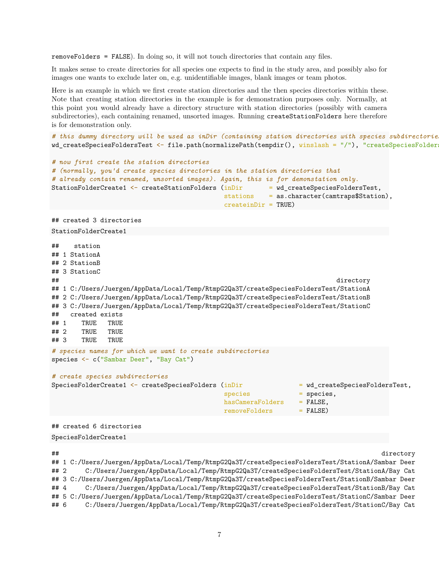removeFolders = FALSE). In doing so, it will not touch directories that contain any files.

It makes sense to create directories for all species one expects to find in the study area, and possibly also for images one wants to exclude later on, e.g. unidentifiable images, blank images or team photos.

Here is an example in which we first create station directories and the then species directories within these. Note that creating station directories in the example is for demonstration purposes only. Normally, at this point you would already have a directory structure with station directories (possibly with camera subdirectories), each containing renamed, unsorted images. Running createStationFolders here therefore is for demonstration only.

*# this dummy directory will be used as inDir (containing station directories with species subdirectories)* wd\_createSpeciesFoldersTest <- file.path(normalizePath(tempdir(), winslash = "/"), "createSpeciesFolder

```
# now first create the station directories
# (normally, you'd create species directories in the station directories that
# already contain renamed, unsorted images). Again, this is for demonstation only.
StationFolderCreate1 <- createStationFolders (inDir = wd_createSpeciesFoldersTest,
                                       stations = as.character(camtraps$Station),
                                       createinDir = TRUE)
## created 3 directories
StationFolderCreate1
## station
## 1 StationA
## 2 StationB
## 3 StationC
## directory
## 1 C:/Users/Juergen/AppData/Local/Temp/RtmpG2Qa3T/createSpeciesFoldersTest/StationA
## 2 C:/Users/Juergen/AppData/Local/Temp/RtmpG2Qa3T/createSpeciesFoldersTest/StationB
## 3 C:/Users/Juergen/AppData/Local/Temp/RtmpG2Qa3T/createSpeciesFoldersTest/StationC
## created exists
## 1 TRUE TRUE
## 2 TRUE TRUE
## 3 TRUE TRUE
# species names for which we want to create subdirectories
species <- c("Sambar Deer", "Bay Cat")
# create species subdirectories
SpeciesFolderCreate1 <- createSpeciesFolders (inDir = wd_createSpeciesFoldersTest,
                                       species = species,
                                       hasCameraFolders = FALSE,
                                       removeFolders = FALSE)
## created 6 directories
SpeciesFolderCreate1
## directory
## 1 C:/Users/Juergen/AppData/Local/Temp/RtmpG2Qa3T/createSpeciesFoldersTest/StationA/Sambar Deer
```
## 2 C:/Users/Juergen/AppData/Local/Temp/RtmpG2Qa3T/createSpeciesFoldersTest/StationA/Bay Cat ## 3 C:/Users/Juergen/AppData/Local/Temp/RtmpG2Qa3T/createSpeciesFoldersTest/StationB/Sambar Deer ## 4 C:/Users/Juergen/AppData/Local/Temp/RtmpG2Qa3T/createSpeciesFoldersTest/StationB/Bay Cat ## 5 C:/Users/Juergen/AppData/Local/Temp/RtmpG2Qa3T/createSpeciesFoldersTest/StationC/Sambar Deer ## 6 C:/Users/Juergen/AppData/Local/Temp/RtmpG2Qa3T/createSpeciesFoldersTest/StationC/Bay Cat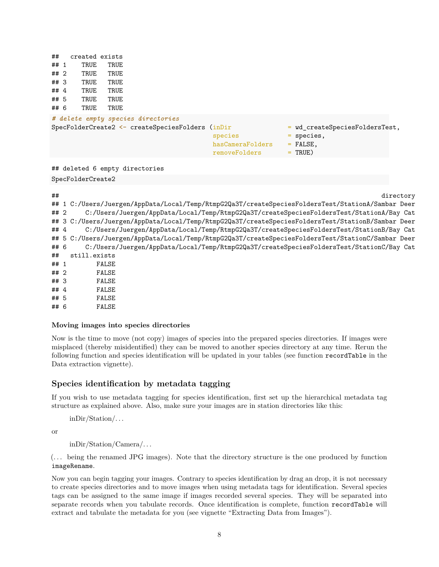| ##                                                                                                                                                                                                                                                                                                                              | created exists |      |                                                                                           |                                                         |                                                                           |  |
|---------------------------------------------------------------------------------------------------------------------------------------------------------------------------------------------------------------------------------------------------------------------------------------------------------------------------------|----------------|------|-------------------------------------------------------------------------------------------|---------------------------------------------------------|---------------------------------------------------------------------------|--|
| ## 1                                                                                                                                                                                                                                                                                                                            | TRUE           | TRUE |                                                                                           |                                                         |                                                                           |  |
| ##2                                                                                                                                                                                                                                                                                                                             | TRUE           | TRUE |                                                                                           |                                                         |                                                                           |  |
| ## 3                                                                                                                                                                                                                                                                                                                            | TRUE           | TRUE |                                                                                           |                                                         |                                                                           |  |
| ## $4$                                                                                                                                                                                                                                                                                                                          | TRUE           | TRUE |                                                                                           |                                                         |                                                                           |  |
| ## 5                                                                                                                                                                                                                                                                                                                            | TRUE           | TRUE |                                                                                           |                                                         |                                                                           |  |
| ## 6                                                                                                                                                                                                                                                                                                                            | TRUE           | TRUE |                                                                                           |                                                         |                                                                           |  |
|                                                                                                                                                                                                                                                                                                                                 |                |      | # delete empty species directories<br>$SpecFolderCreate2 \leftarrow createSpeciesFolders$ | (inDir)<br>species<br>hasCameraFolders<br>removeFolders | = wd createSpeciesFoldersTest,<br>$=$ species,<br>$=$ FALSE,<br>$=$ TRUE) |  |
| ## deleted 6 empty directories                                                                                                                                                                                                                                                                                                  |                |      |                                                                                           |                                                         |                                                                           |  |
| SpecFolderCreate2                                                                                                                                                                                                                                                                                                               |                |      |                                                                                           |                                                         |                                                                           |  |
| ##<br>directory<br>1 C:/Users/Juergen/AppData/Local/Temp/RtmpG2Qa3T/createSpeciesFoldersTest/StationA/Sambar Deer<br>##<br>C:/Users/Juergen/AppData/Local/Temp/RtmpG2Qa3T/createSpeciesFoldersTest/StationA/Bay Cat<br>##2<br>## 3 C:/Users/Juergen/AppData/Local/Temp/RtmpG2Qa3T/createSpeciesFoldersTest/StationB/Sambar Deer |                |      |                                                                                           |                                                         |                                                                           |  |

## 4 C:/Users/Juergen/AppData/Local/Temp/RtmpG2Qa3T/createSpeciesFoldersTest/StationB/Bay Cat ## 5 C:/Users/Juergen/AppData/Local/Temp/RtmpG2Qa3T/createSpeciesFoldersTest/StationC/Sambar Deer ## 6 C:/Users/Juergen/AppData/Local/Temp/RtmpG2Qa3T/createSpeciesFoldersTest/StationC/Bay Cat

## 6 FALSE

#### **Moving images into species directories**

Now is the time to move (not copy) images of species into the prepared species directories. If images were misplaced (thereby misidentified) they can be moved to another species directory at any time. Rerun the following function and species identification will be updated in your tables (see function recordTable in the Data extraction vignette).

### <span id="page-7-0"></span>**Species identification by metadata tagging**

If you wish to use metadata tagging for species identification, first set up the hierarchical metadata tag structure as explained above. Also, make sure your images are in station directories like this:

inDir/Station/. . .

## still.exists ## 1 FALSE ## 2 FALSE ## 3 FALSE ## 4 FALSE ## 5 FALSE

or

inDir/Station/Camera/. . .

(. . . being the renamed JPG images). Note that the directory structure is the one produced by function imageRename.

Now you can begin tagging your images. Contrary to species identification by drag an drop, it is not necessary to create species directories and to move images when using metadata tags for identification. Several species tags can be assigned to the same image if images recorded several species. They will be separated into separate records when you tabulate records. Once identification is complete, function recordTable will extract and tabulate the metadata for you (see vignette "Extracting Data from Images").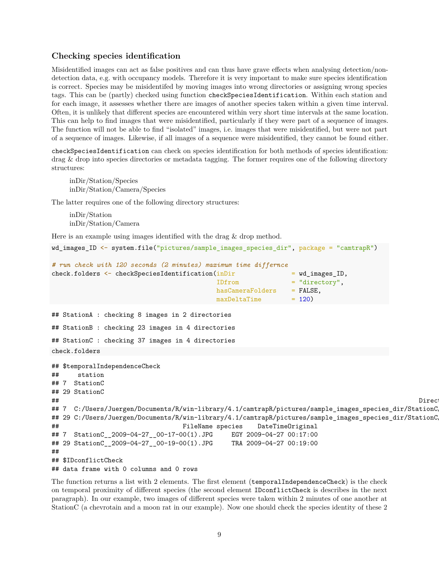#### <span id="page-8-0"></span>**Checking species identification**

Misidentified images can act as false positives and can thus have grave effects when analysing detection/nondetection data, e.g. with occupancy models. Therefore it is very important to make sure species identification is correct. Species may be misidentifed by moving images into wrong directories or assigning wrong species tags. This can be (partly) checked using function checkSpeciesIdentification. Within each station and for each image, it assesses whether there are images of another species taken within a given time interval. Often, it is unlikely that different species are encountered within very short time intervals at the same location. This can help to find images that were misidentified, particularly if they were part of a sequence of images. The function will not be able to find "isolated" images, i.e. images that were misidentified, but were not part of a sequence of images. Likewise, if all images of a sequence were misidentified, they cannot be found either.

checkSpeciesIdentification can check on species identification for both methods of species identification: drag & drop into species directories or metadata tagging. The former requires one of the following directory structures:

inDir/Station/Species inDir/Station/Camera/Species

The latter requires one of the following directory structures:

inDir/Station inDir/Station/Camera

Here is an example using images identified with the drag & drop method.

```
wd_images_ID <- system.file("pictures/sample_images_species_dir", package = "camtrapR")
```

```
# run check with 120 seconds (2 minutes) maximum time differnce
check.folders <- checkSpeciesIdentification(inDir = wd_images_ID,
                                     IDfrom = "directory",
                                     hasCameraFolders = FALSE,
                                     maxDeltaTime = 120)
```
## StationA : checking 8 images in 2 directories ## StationB : checking 23 images in 4 directories ## StationC : checking 37 images in 4 directories check.folders

```
## $temporalIndependenceCheck
```

```
## station
## 7 StationC
## 29 StationC
## Directory
## 7 C:/Users/Juergen/Documents/R/win-library/4.1/camtrapR/pictures/sample_images_species_dir/StationC
## 29 C:/Users/Juergen/Documents/R/win-library/4.1/camtrapR/pictures/sample_images_species_dir/StationC
## FileName species DateTimeOriginal
## 7 StationC__2009-04-27__00-17-00(1).JPG EGY 2009-04-27 00:17:00
## 29 StationC__2009-04-27__00-19-00(1).JPG TRA 2009-04-27 00:19:00
##
## $IDconflictCheck
## data frame with 0 columns and 0 rows
```
The function returns a list with 2 elements. The first element (temporalIndependenceCheck) is the check on temporal proximity of different species (the second element IDconflictCheck is describes in the next paragraph). In our example, two images of different species were taken within 2 minutes of one another at StationC (a chevrotain and a moon rat in our example). Now one should check the species identity of these 2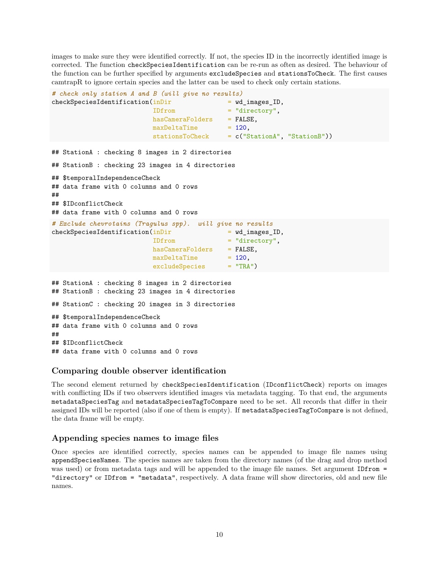images to make sure they were identified correctly. If not, the species ID in the incorrectly identified image is corrected. The function checkSpeciesIdentification can be re-run as often as desired. The behaviour of the function can be further specified by arguments excludeSpecies and stationsToCheck. The first causes camtrapR to ignore certain species and the latter can be used to check only certain stations.

```
# check only station A and B (will give no results)
check SpeciesIdentification(inDir = wd\_images\_ID,IDfrom = "directory",
                         hasCameraFolders = FALSE,
                         maxDeltaTime = 120,
                         stationsToCheck = c("StationA", "StationB"))
## StationA : checking 8 images in 2 directories
## StationB : checking 23 images in 4 directories
## $temporalIndependenceCheck
## data frame with 0 columns and 0 rows
##
## $IDconflictCheck
## data frame with 0 columns and 0 rows
# Exclude chevrotains (Tragulus spp). will give no results
check SpeciesIdentification(inDir = wd_images_ID,
                         IDfrom = "directory",
                         hasCameraFolders = FALSE,
                         maxDeltaTime = 120.
                         excludeSpecies = "TRA")
## StationA : checking 8 images in 2 directories
## StationB : checking 23 images in 4 directories
## StationC : checking 20 images in 3 directories
## $temporalIndependenceCheck
## data frame with 0 columns and 0 rows
##
## $IDconflictCheck
## data frame with 0 columns and 0 rows
```
#### <span id="page-9-0"></span>**Comparing double observer identification**

The second element returned by checkSpeciesIdentification (IDconflictCheck) reports on images with conflicting IDs if two observers identified images via metadata tagging. To that end, the arguments metadataSpeciesTag and metadataSpeciesTagToCompare need to be set. All records that differ in their assigned IDs will be reported (also if one of them is empty). If metadataSpeciesTagToCompare is not defined, the data frame will be empty.

### <span id="page-9-1"></span>**Appending species names to image files**

Once species are identified correctly, species names can be appended to image file names using appendSpeciesNames. The species names are taken from the directory names (of the drag and drop method was used) or from metadata tags and will be appended to the image file names. Set argument IDfrom = "directory" or IDfrom = "metadata", respectively. A data frame will show directories, old and new file names.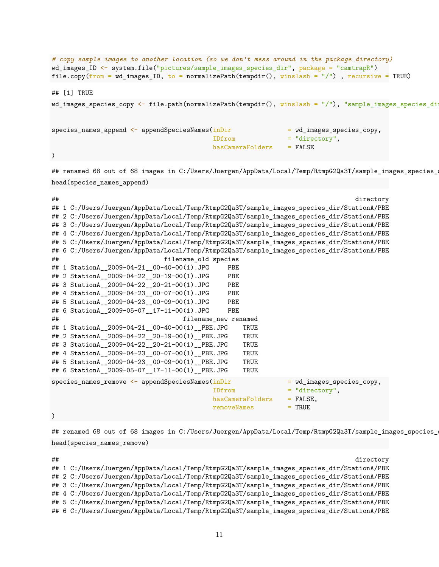```
# copy sample images to another location (so we don't mess around in the package directory)
wd_images_ID <- system.file("pictures/sample_images_species_dir", package = "camtrapR")
file.copy(from = wd_images_ID, to = normalizePath(tempdir(), winslash = ''/"), recursive = TRUE)
## [1] TRUE
wd_images_species_copy <- file.path(normalizePath(tempdir(), winslash = "/"), "sample_images_species_dir
species_names_append <- appendSpeciesNames(inDir = wd_images_species_copy,
                                         IDfrom = "directory",
                                         hasCameraFolders = FALSE
\lambda
```
## renamed 68 out of 68 images in C:/Users/Juergen/AppData/Local/Temp/RtmpG2Qa3T/sample\_images\_species\_ head(species\_names\_append)

| ## | directory                                                                                  |
|----|--------------------------------------------------------------------------------------------|
|    | ## 1 C:/Users/Juergen/AppData/Local/Temp/RtmpG2Qa3T/sample_images_species_dir/StationA/PBE |
|    | ## 2 C:/Users/Juergen/AppData/Local/Temp/RtmpG2Qa3T/sample_images_species_dir/StationA/PBE |
|    | ## 3 C:/Users/Juergen/AppData/Local/Temp/RtmpG2Qa3T/sample_images_species_dir/StationA/PBE |
|    | ## 4 C:/Users/Juergen/AppData/Local/Temp/RtmpG2Qa3T/sample_images_species_dir/StationA/PBE |
|    | ## 5 C:/Users/Juergen/AppData/Local/Temp/RtmpG2Qa3T/sample_images_species_dir/StationA/PBE |
|    | ## 6 C:/Users/Juergen/AppData/Local/Temp/RtmpG2Qa3T/sample_images_species_dir/StationA/PBE |
| ## | filename_old species                                                                       |
|    | ## 1 StationA_2009-04-21_00-40-00(1).JPG<br><b>PBE</b>                                     |
|    | ## 2 StationA_2009-04-22_20-19-00(1).JPG<br><b>PBE</b>                                     |
|    | ## 3 StationA_2009-04-22_20-21-00(1).JPG<br><b>PBE</b>                                     |
|    | ## 4 StationA_2009-04-23_00-07-00(1).JPG<br>PBE                                            |
|    | ## 5 StationA_2009-04-23_00-09-00(1).JPG<br>PBE                                            |
|    | ## 6 StationA_2009-05-07_17-11-00(1).JPG<br>PBE                                            |
| ## | filename new renamed                                                                       |
|    | ## 1 StationA__2009-04-21__00-40-00(1)_PBE.JPG<br>TRUE                                     |
|    | ## 2 StationA_2009-04-22_20-19-00(1)_PBE.JPG<br>TRUE                                       |
|    | ## 3 StationA_2009-04-22_20-21-00(1)_PBE.JPG<br>TRUE                                       |
|    | ## 4 StationA_2009-04-23_00-07-00(1)_PBE.JPG<br>TRUE                                       |
|    | ## 5 StationA_2009-04-23_00-09-00(1)_PBE.JPG<br>TRUE                                       |
|    | ## 6 StationA__2009-05-07__17-11-00(1)__PBE.JPG<br>TRUE                                    |
|    | species names remove $\leq$ appendSpeciesNames (inDir<br>= wd_images_species_copy,         |
|    | $=$ "directory".<br>IDfrom                                                                 |
|    | $=$ FALSE.<br>hasCameraFolders                                                             |
|    | removeNames<br>$=$ TRUE                                                                    |
|    |                                                                                            |

## renamed 68 out of 68 images in C:/Users/Juergen/AppData/Local/Temp/RtmpG2Qa3T/sample\_images\_species\_ head(species\_names\_remove)

## directory

## 1 C:/Users/Juergen/AppData/Local/Temp/RtmpG2Qa3T/sample\_images\_species\_dir/StationA/PBE ## 2 C:/Users/Juergen/AppData/Local/Temp/RtmpG2Qa3T/sample\_images\_species\_dir/StationA/PBE ## 3 C:/Users/Juergen/AppData/Local/Temp/RtmpG2Qa3T/sample\_images\_species\_dir/StationA/PBE ## 4 C:/Users/Juergen/AppData/Local/Temp/RtmpG2Qa3T/sample\_images\_species\_dir/StationA/PBE ## 5 C:/Users/Juergen/AppData/Local/Temp/RtmpG2Qa3T/sample\_images\_species\_dir/StationA/PBE ## 6 C:/Users/Juergen/AppData/Local/Temp/RtmpG2Qa3T/sample\_images\_species\_dir/StationA/PBE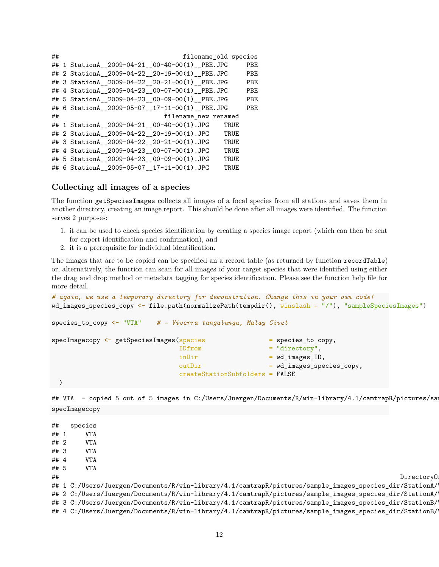| ## | filename_old species                             |     |
|----|--------------------------------------------------|-----|
|    | ## 1 StationA 2009-04-21 00-40-00(1) PBE.JPG     | PBE |
|    | ## 2 StationA__2009-04-22__20-19-00(1)_PBE.JPG   | PBE |
|    | ## 3 StationA_2009-04-22_20-21-00(1)_PBE.JPG     | PBE |
|    | ## 4 StationA 2009-04-23 00-07-00(1) PBE.JPG     | PBE |
|    | ## 5 StationA_2009-04-23_00-09-00(1)_PBE.JPG     | PBE |
|    | ## 6 StationA_2009-05-07_17-11-00(1)_PBE.JPG     | PBE |
| ## | filename_new renamed                             |     |
|    | ## 1 StationA 2009-04-21 00-40-00(1).JPG<br>TRUE |     |
|    | ## 2 StationA_2009-04-22_20-19-00(1).JPG<br>TRUE |     |
|    | ## 3 StationA_2009-04-22_20-21-00(1).JPG<br>TRUE |     |
|    | ## 4 StationA 2009-04-23 00-07-00(1).JPG<br>TRUE |     |
|    | ## 5 StationA 2009-04-23 00-09-00(1).JPG<br>TRUE |     |
|    | ## 6 StationA_2009-05-07_17-11-00(1).JPG<br>TRUE |     |

#### <span id="page-11-0"></span>**Collecting all images of a species**

The function getSpeciesImages collects all images of a focal species from all stations and saves them in another directory, creating an image report. This should be done after all images were identified. The function serves 2 purposes:

- 1. it can be used to check species identification by creating a species image report (which can then be sent for expert identification and confirmation), and
- 2. it is a prerequisite for individual identification.

The images that are to be copied can be specified an a record table (as returned by function recordTable) or, alternatively, the function can scan for all images of your target species that were identified using either the drag and drop method or metadata tagging for species identification. Please see the function help file for more detail.

```
# again, we use a temporary directory for demonstration. Change this in your own code!
wd_images_species_copy <- file.path(normalizePath(tempdir(), winslash = "/"), "sampleSpeciesImages")
```

```
species_to_copy <- "VTA" # = Viverra tangalunga, Malay Civet
```

| specImagecopy <- getSpeciesImages(species |                                 | $=$ species to copy,      |
|-------------------------------------------|---------------------------------|---------------------------|
|                                           | IDfrom                          | $=$ "directory",          |
|                                           | inDir                           | $=$ wd images ID,         |
|                                           | outDir                          | = wd_images_species_copy, |
|                                           | createStationSubfolders = FALSE |                           |
|                                           |                                 |                           |

```
## VTA - copied 5 out of 5 images in C:/Users/Juergen/Documents/R/win-library/4.1/camtrapR/pictures/sam
specImagecopy
```
## species ## 1 VTA ## 2 VTA ## 3 VTA ## 4 VTA<br>## 5 VTA  $## 5$ ## DirectoryOrig ## 1 C:/Users/Juergen/Documents/R/win-library/4.1/camtrapR/pictures/sample\_images\_species\_dir/StationA/ ## 2 C:/Users/Juergen/Documents/R/win-library/4.1/camtrapR/pictures/sample\_images\_species\_dir/StationA/ ## 3 C:/Users/Juergen/Documents/R/win-library/4.1/camtrapR/pictures/sample\_images\_species\_dir/StationB/ ## 4 C:/Users/Juergen/Documents/R/win-library/4.1/camtrapR/pictures/sample\_images\_species\_dir/StationB/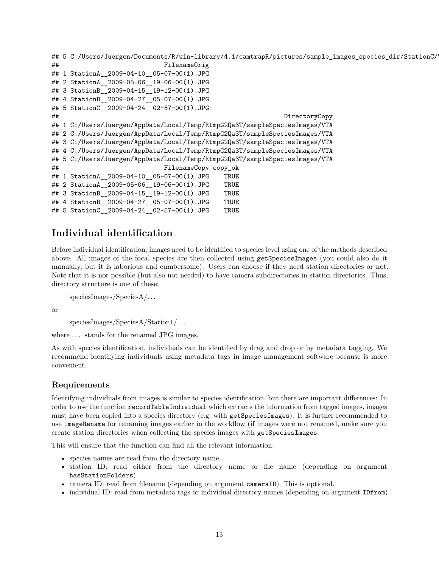```
## 5 C:/Users/Juergen/Documents/R/win-library/4.1/camtrapR/pictures/sample_images_species_dir/StationC/
## FilenameOrig
## 1 StationA__2009-04-10__05-07-00(1).JPG
## 2 StationA__2009-05-06__19-06-00(1).JPG
## 3 StationB__2009-04-15__19-12-00(1).JPG
## 4 StationB__2009-04-27__05-07-00(1).JPG
## 5 StationC 2009-04-24 02-57-00(1).JPG
## DirectoryCopy
## 1 C:/Users/Juergen/AppData/Local/Temp/RtmpG2Qa3T/sampleSpeciesImages/VTA
## 2 C:/Users/Juergen/AppData/Local/Temp/RtmpG2Qa3T/sampleSpeciesImages/VTA
## 3 C:/Users/Juergen/AppData/Local/Temp/RtmpG2Qa3T/sampleSpeciesImages/VTA
## 4 C:/Users/Juergen/AppData/Local/Temp/RtmpG2Qa3T/sampleSpeciesImages/VTA
## 5 C:/Users/Juergen/AppData/Local/Temp/RtmpG2Qa3T/sampleSpeciesImages/VTA
## FilenameCopy copy_ok
## 1 StationA__2009-04-10__05-07-00(1).JPG TRUE
## 2 StationA__2009-05-06__19-06-00(1).JPG TRUE
## 3 StationB__2009-04-15__19-12-00(1).JPG TRUE
## 4 StationB 2009-04-27 05-07-00(1).JPG TRUE
## 5 StationC__2009-04-24__02-57-00(1).JPG TRUE
```
## <span id="page-12-0"></span>**Individual identification**

Before individual identification, images need to be identified to species level using one of the methods described above. All images of the focal species are then collected using getSpeciesImages (you could also do it manually, but it is laborious and cumbersome). Users can choose if they need station directories or not. Note that it is not possible (but also not needed) to have camera subdirectories in station directories. Thus, directory structure is one of these:

speciesImages/SpeciesA/. . .

or

speciesImages/SpeciesA/Station1/. . .

where  $\dots$  stands for the renamed JPG images.

As with species identification, individuals can be identified by drag and drop or by metadata tagging. We recommend identifying individuals using metadata tags in image management software because is more convenient.

#### <span id="page-12-1"></span>**Requirements**

Identifying individuals from images is similar to species identification, but there are important differences: In order to use the function recordTableIndividual which extracts the information from tagged images, images must have been copied into a species directory (e.g. with getSpeciesImages). It is further recommended to use imageRename for renaming images earlier in the workflow (if images were not renamed, make sure you create station directories when collecting the species images with getSpeciesImages.

This will ensure that the function can find all the relevant information:

- species names are read from the directory name
- station ID: read either from the directory name or file name (depending on argument hasStationFolders)
- camera ID: read from filename (depending on argument cameraID). This is optional.
- individual ID: read from metadata tags or individual directory names (depending on argument IDfrom)